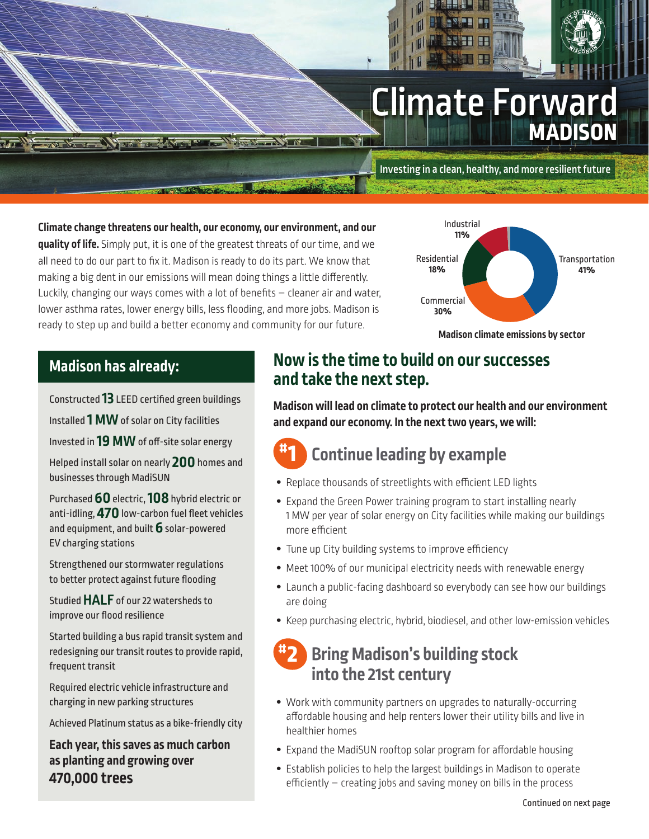# Climate Forward **MADISON**

Investing in a clean, healthy, and more resilient future

**Climate change threatens our health, our economy, our environment, and our quality of life.** Simply put, it is one of the greatest threats of our time, and we all need to do our part to fix it. Madison is ready to do its part. We know that making a big dent in our emissions will mean doing things a little differently. Luckily, changing our ways comes with a lot of benefits  $-$  cleaner air and water, lower asthma rates, lower energy bills, less flooding, and more jobs. Madison is ready to step up and build a better economy and community for our future.

**TAXION COMPANY OF BUILDING** 



**Madison climate emissions by sector**

### **Madison has already:**

Constructed 13 LEED certified green buildings

Installed **1 MW** of solar on City facilities

Invested in **19 MW** of off-site solar energy

Helped install solar on nearly **200** homes and businesses through MadiSUN

Purchased **60** electric, **108** hybrid electric or anti-idling, **470** low-carbon fuel fleet vehicles and equipment, and built **6** solar-powered EV charging stations

Strengthened our stormwater regulations to better protect against future flooding

Studied **HALF** of our 22 watersheds to improve our flood resilience

Started building a bus rapid transit system and redesigning our transit routes to provide rapid, frequent transit

Required electric vehicle infrastructure and charging in new parking structures

Achieved Platinum status as a bike-friendly city

**Each year, this saves as much carbon as planting and growing over 470,000 trees**

## **Now is the time to build on our successes and take the next step.**

**Madison will lead on climate to protect our health and our environment and expand our economy. In the next two years, we will:**

#### **Continue leading by example #1**

- Replace thousands of streetlights with efficient LED lights
- **•** Expand the Green Power training program to start installing nearly 1 MW per year of solar energy on City facilities while making our buildings more efficient
- Tune up City building systems to improve efficiency
- **•** Meet 100% of our municipal electricity needs with renewable energy
- **•** Launch a public-facing dashboard so everybody can see how our buildings are doing
- **•** Keep purchasing electric, hybrid, biodiesel, and other low-emission vehicles

### **Bring Madison's building stock into the 21st century #2**

- **•** Work with community partners on upgrades to naturally-occurring affordable housing and help renters lower their utility bills and live in healthier homes
- Expand the MadiSUN rooftop solar program for affordable housing
- **•** Establish policies to help the largest buildings in Madison to operate efficiently  $-$  creating jobs and saving money on bills in the process